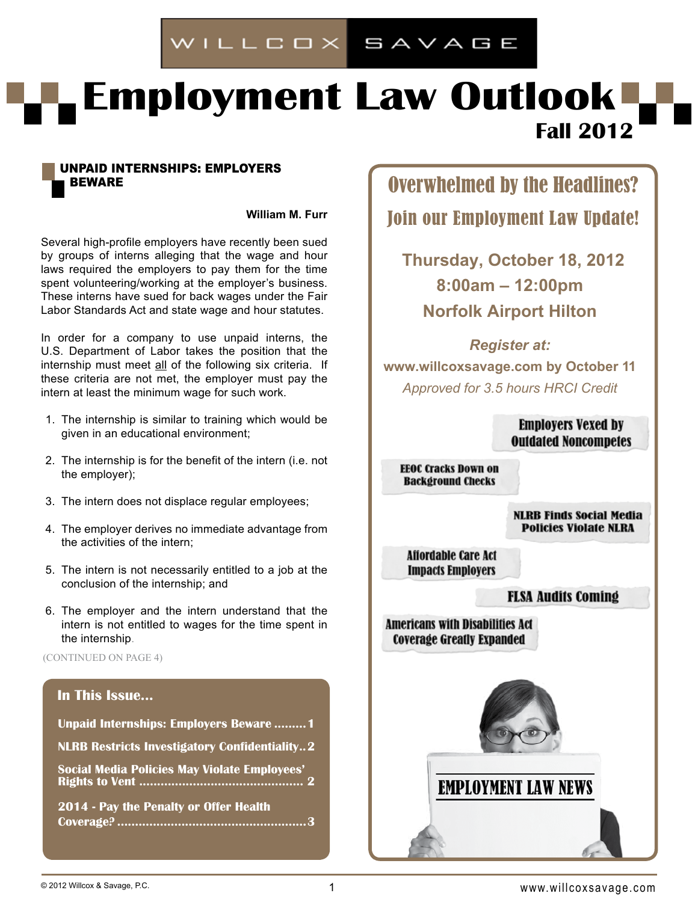# WILLCOX SAVAGE

# **Employment Law Outlook Fall 2012**

#### Unpaid Internships: Employers **BEWARE**

**William M. Furr** 

Several high-profile employers have recently been sued by groups of interns alleging that the wage and hour laws required the employers to pay them for the time spent volunteering/working at the employer's business. These interns have sued for back wages under the Fair Labor Standards Act and state wage and hour statutes.

In order for a company to use unpaid interns, the U.S. Department of Labor takes the position that the internship must meet all of the following six criteria. If these criteria are not met, the employer must pay the intern at least the minimum wage for such work.

- 1. The internship is similar to training which would be given in an educational environment;
- 2. The internship is for the benefit of the intern (i.e. not the employer);
- 3. The intern does not displace regular employees;
- 4. The employer derives no immediate advantage from the activities of the intern;
- 5. The intern is not necessarily entitled to a job at the conclusion of the internship; and
- 6. The employer and the intern understand that the intern is not entitled to wages for the time spent in the internship.

(CONTINUED ON PAGE 4)

#### **In This Issue...**

| <b>Unpaid Internships: Employers Beware 1</b>        |
|------------------------------------------------------|
| <b>NLRB Restricts Investigatory Confidentiality2</b> |
| <b>Social Media Policies May Violate Employees'</b>  |
| 2014 - Pay the Penalty or Offer Health               |

Overwhelmed by the Headlines? Join our Employment Law Update!

**Thursday, October 18, 2012 8:00am – 12:00pm Norfolk Airport Hilton**

*Register at:* **www.willcoxsavage.com by October 11** *Approved for 3.5 hours HRCI Credit*

> **Employers Vexed by Outdated Noncompetes**

**EEOC Cracks Down on Background Checks** 

> **NLRB Finds Social Media Policies Violate NLRA**

**Affordable Care Act Impacts Employers** 

#### **FLSA Audits Coming**

**Americans with Disabilities Act Coverage Greatly Expanded** 



## **EMPLOYMENT LAW NEWS**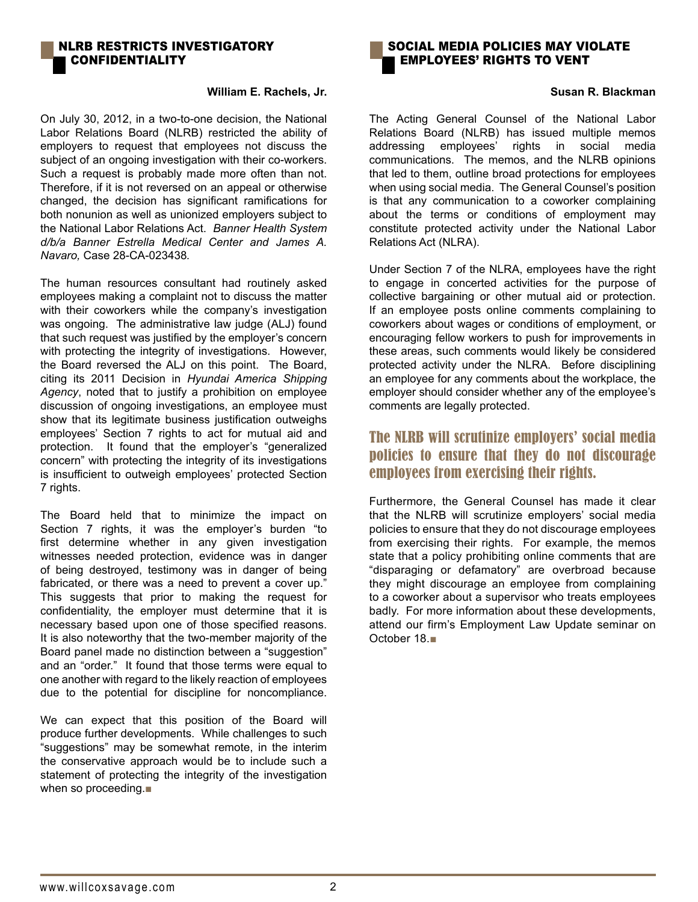#### Nlrb restricts investigatory **CONFIDENTIALITY**

#### **William E. Rachels, Jr.**

On July 30, 2012, in a two-to-one decision, the National Labor Relations Board (NLRB) restricted the ability of employers to request that employees not discuss the subject of an ongoing investigation with their co-workers. Such a request is probably made more often than not. Therefore, if it is not reversed on an appeal or otherwise changed, the decision has significant ramifications for both nonunion as well as unionized employers subject to the National Labor Relations Act. *Banner Health System d/b/a Banner Estrella Medical Center and James A. Navaro,* Case 28-CA-023438*.*

The human resources consultant had routinely asked employees making a complaint not to discuss the matter with their coworkers while the company's investigation was ongoing. The administrative law judge (ALJ) found that such request was justified by the employer's concern with protecting the integrity of investigations. However, the Board reversed the ALJ on this point. The Board, citing its 2011 Decision in *Hyundai America Shipping Agency*, noted that to justify a prohibition on employee discussion of ongoing investigations, an employee must show that its legitimate business justification outweighs employees' Section 7 rights to act for mutual aid and protection. It found that the employer's "generalized concern" with protecting the integrity of its investigations is insufficient to outweigh employees' protected Section 7 rights.

The Board held that to minimize the impact on Section 7 rights, it was the employer's burden "to first determine whether in any given investigation witnesses needed protection, evidence was in danger of being destroyed, testimony was in danger of being fabricated, or there was a need to prevent a cover up." This suggests that prior to making the request for confidentiality, the employer must determine that it is necessary based upon one of those specified reasons. It is also noteworthy that the two-member majority of the Board panel made no distinction between a "suggestion" and an "order." It found that those terms were equal to one another with regard to the likely reaction of employees due to the potential for discipline for noncompliance.

We can expect that this position of the Board will produce further developments. While challenges to such "suggestions" may be somewhat remote, in the interim the conservative approach would be to include such a statement of protecting the integrity of the investigation when so proceeding.■



#### **Susan R. Blackman**

The Acting General Counsel of the National Labor Relations Board (NLRB) has issued multiple memos addressing employees' rights in social media communications. The memos, and the NLRB opinions that led to them, outline broad protections for employees when using social media. The General Counsel's position is that any communication to a coworker complaining about the terms or conditions of employment may constitute protected activity under the National Labor Relations Act (NLRA).

Under Section 7 of the NLRA, employees have the right to engage in concerted activities for the purpose of collective bargaining or other mutual aid or protection. If an employee posts online comments complaining to coworkers about wages or conditions of employment, or encouraging fellow workers to push for improvements in these areas, such comments would likely be considered protected activity under the NLRA. Before disciplining an employee for any comments about the workplace, the employer should consider whether any of the employee's comments are legally protected.

### The NLRB will scrutinize employers' social media policies to ensure that they do not discourage employees from exercising their rights.

Furthermore, the General Counsel has made it clear that the NLRB will scrutinize employers' social media policies to ensure that they do not discourage employees from exercising their rights. For example, the memos state that a policy prohibiting online comments that are "disparaging or defamatory" are overbroad because they might discourage an employee from complaining to a coworker about a supervisor who treats employees badly. For more information about these developments, attend our firm's Employment Law Update seminar on October 18.■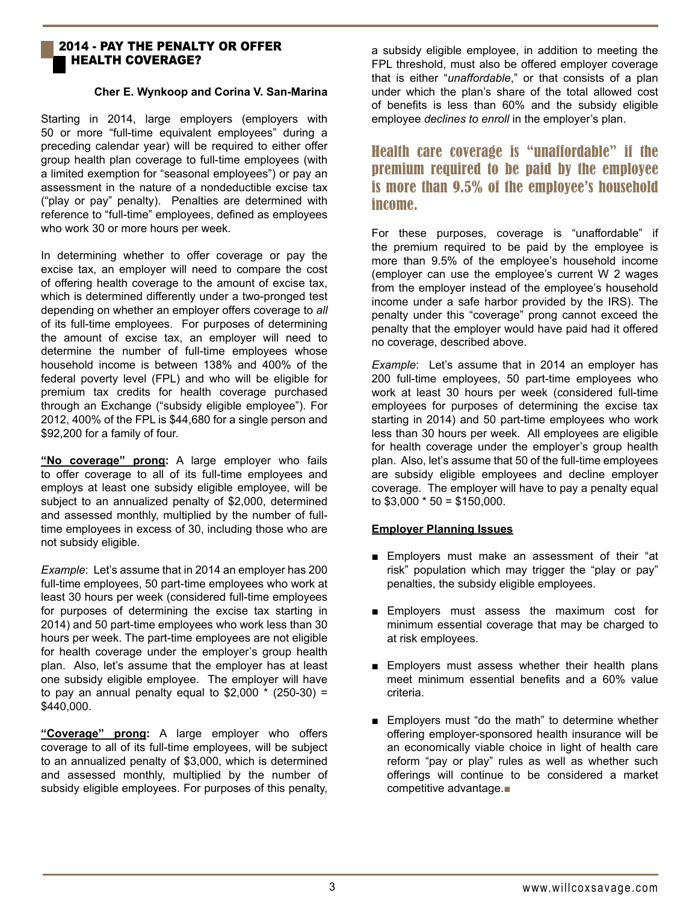#### 2014 - Pay the Penalty or Offer Health Coverage?

#### **Cher E. Wynkoop and Corina V. San-Marina**

Starting in 2014, large employers (employers with 50 or more "full-time equivalent employees" during a preceding calendar year) will be required to either offer group health plan coverage to full-time employees (with a limited exemption for "seasonal employees") or pay an assessment in the nature of a nondeductible excise tax ("play or pay" penalty). Penalties are determined with reference to "full-time" employees, defined as employees who work 30 or more hours per week.

In determining whether to offer coverage or pay the excise tax, an employer will need to compare the cost of offering health coverage to the amount of excise tax, which is determined differently under a two-pronged test depending on whether an employer offers coverage to *all* of its full-time employees. For purposes of determining the amount of excise tax, an employer will need to determine the number of full-time employees whose household income is between 138% and 400% of the federal poverty level (FPL) and who will be eligible for premium tax credits for health coverage purchased through an Exchange ("subsidy eligible employee"). For 2012, 400% of the FPL is \$44,680 for a single person and \$92,200 for a family of four.

**"No coverage" prong:** A large employer who fails to offer coverage to all of its full-time employees and employs at least one subsidy eligible employee, will be subject to an annualized penalty of \$2,000, determined and assessed monthly, multiplied by the number of fulltime employees in excess of 30, including those who are not subsidy eligible.

*Example*: Let's assume that in 2014 an employer has 200 full-time employees, 50 part-time employees who work at least 30 hours per week (considered full-time employees for purposes of determining the excise tax starting in 2014) and 50 part-time employees who work less than 30 hours per week. The part-time employees are not eligible for health coverage under the employer's group health plan. Also, let's assume that the employer has at least one subsidy eligible employee. The employer will have to pay an annual penalty equal to  $$2,000$   $*$  (250-30) = \$440,000.

**"Coverage" prong:** A large employer who offers coverage to all of its full-time employees, will be subject to an annualized penalty of \$3,000, which is determined and assessed monthly, multiplied by the number of subsidy eligible employees. For purposes of this penalty, a subsidy eligible employee, in addition to meeting the FPL threshold, must also be offered employer coverage that is either "*unaffordable*," or that consists of a plan under which the plan's share of the total allowed cost of benefits is less than 60% and the subsidy eligible employee *declines to enroll* in the employer's plan.

### Health care coverage is "unaffordable" if the premium required to be paid by the employee is more than 9.5% of the employee's household income.

For these purposes, coverage is "unaffordable" if the premium required to be paid by the employee is more than 9.5% of the employee's household income (employer can use the employee's current W 2 wages from the employer instead of the employee's household income under a safe harbor provided by the IRS). The penalty under this "coverage" prong cannot exceed the penalty that the employer would have paid had it offered no coverage, described above.

*Example*: Let's assume that in 2014 an employer has 200 full-time employees, 50 part-time employees who work at least 30 hours per week (considered full-time employees for purposes of determining the excise tax starting in 2014) and 50 part-time employees who work less than 30 hours per week. All employees are eligible for health coverage under the employer's group health plan. Also, let's assume that 50 of the full-time employees are subsidy eligible employees and decline employer coverage. The employer will have to pay a penalty equal to  $$3,000 * 50 = $150,000$ .

#### **Employer Planning Issues**

- Employers must make an assessment of their "at risk" population which may trigger the "play or pay" penalties, the subsidy eligible employees.
- Employers must assess the maximum cost for minimum essential coverage that may be charged to at risk employees.
- Employers must assess whether their health plans meet minimum essential benefits and a 60% value criteria.
- Employers must "do the math" to determine whether offering employer-sponsored health insurance will be an economically viable choice in light of health care reform "pay or play" rules as well as whether such offerings will continue to be considered a market competitive advantage.■